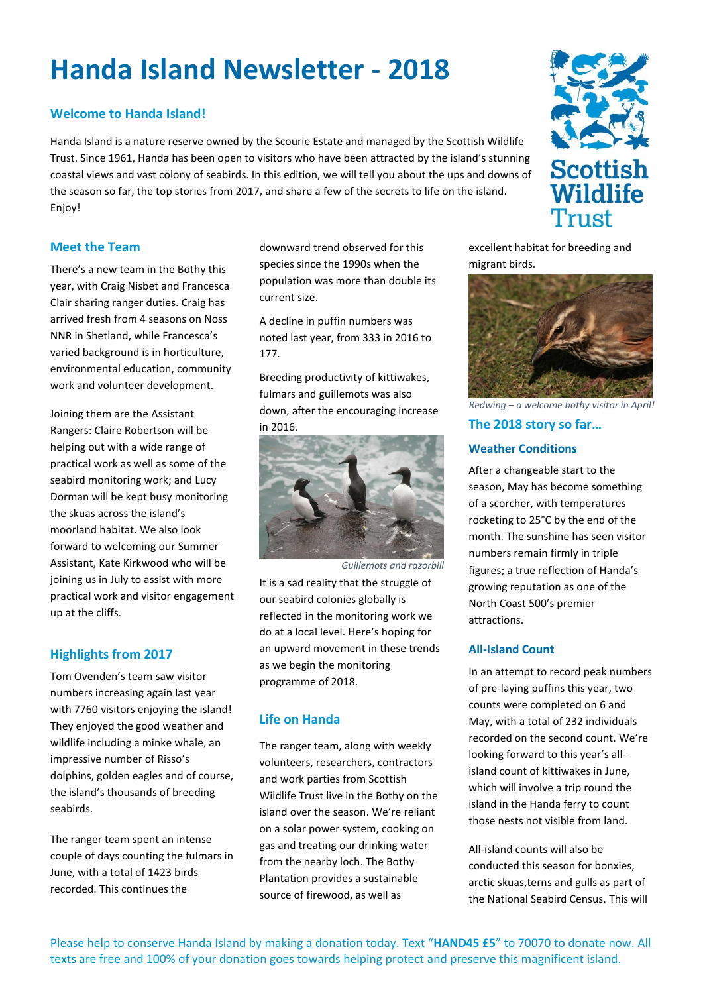# **Handa Island Newsletter - 2018**

# **Welcome to Handa Island!**

Handa Island is a nature reserve owned by the Scourie Estate and managed by the Scottish Wildlife Trust. Since 1961, Handa has been open to visitors who have been attracted by the island's stunning coastal views and vast colony of seabirds. In this edition, we will tell you about the ups and downs of the season so far, the top stories from 2017, and share a few of the secrets to life on the island. Enjoy!

## **Meet the Team**

There's a new team in the Bothy this year, with Craig Nisbet and Francesca Clair sharing ranger duties. Craig has arrived fresh from 4 seasons on Noss NNR in Shetland, while Francesca's varied background is in horticulture, environmental education, community work and volunteer development.

Joining them are the Assistant Rangers: Claire Robertson will be helping out with a wide range of practical work as well as some of the seabird monitoring work; and Lucy Dorman will be kept busy monitoring the skuas across the island's moorland habitat. We also look forward to welcoming our Summer Assistant, Kate Kirkwood who will be joining us in July to assist with more practical work and visitor engagement up at the cliffs.

# **Highlights from 2017**

Tom Ovenden's team saw visitor numbers increasing again last year with 7760 visitors enjoying the island! They enjoyed the good weather and wildlife including a minke whale, an impressive number of Risso's dolphins, golden eagles and of course, the island's thousands of breeding seabirds.

The ranger team spent an intense couple of days counting the fulmars in June, with a total of 1423 birds recorded. This continues the

downward trend observed for this species since the 1990s when the population was more than double its current size.

A decline in puffin numbers was noted last year, from 333 in 2016 to 177.

Breeding productivity of kittiwakes, fulmars and guillemots was also down, after the encouraging increase in 2016.



*Guillemots and razorbill*

It is a sad reality that the struggle of our seabird colonies globally is reflected in the monitoring work we do at a local level. Here's hoping for an upward movement in these trends as we begin the monitoring programme of 2018.

# **Life on Handa**

The ranger team, along with weekly volunteers, researchers, contractors and work parties from Scottish Wildlife Trust live in the Bothy on the island over the season. We're reliant on a solar power system, cooking on gas and treating our drinking water from the nearby loch. The Bothy Plantation provides a sustainable source of firewood, as well as





*Redwing – a welcome bothy visitor in April!*

## **The 2018 story so far…**

#### **Weather Conditions**

After a changeable start to the season, May has become something of a scorcher, with temperatures rocketing to 25°C by the end of the month. The sunshine has seen visitor numbers remain firmly in triple figures; a true reflection of Handa's growing reputation as one of the North Coast 500's premier attractions.

#### **All-Island Count**

In an attempt to record peak numbers of pre-laying puffins this year, two counts were completed on 6 and May, with a total of 232 individuals recorded on the second count. We're looking forward to this year's allisland count of kittiwakes in June, which will involve a trip round the island in the Handa ferry to count those nests not visible from land.

All-island counts will also be conducted this season for bonxies, arctic skuas,terns and gulls as part of the National Seabird Census. This will



Please help to conserve Handa Island by making a donation today. Text "**HAND45 £5**" to 70070 to donate now. All texts are free and 100% of your donation goes towards helping protect and preserve this magnificent island.